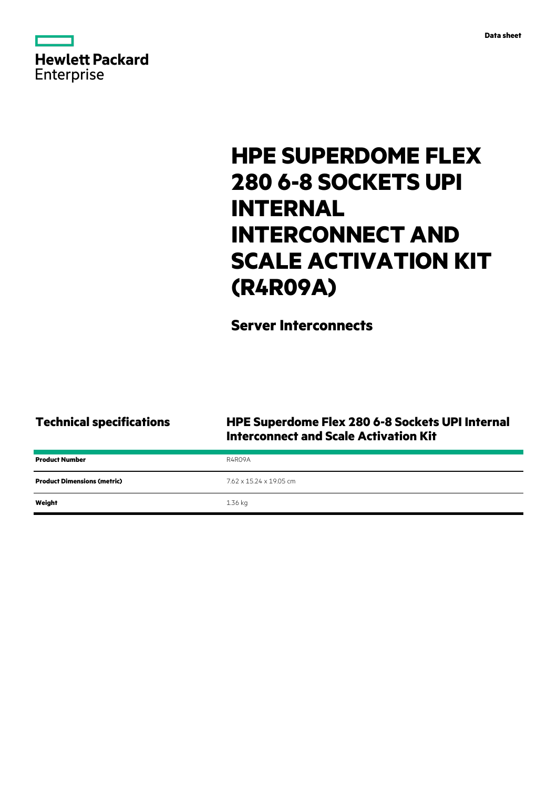| <b>Hewlett Packard</b> |  |  |
|------------------------|--|--|
| <b>Enterprise</b>      |  |  |

# **HPE SUPERDOME FLEX 280 6-8 SOCKETS UPI INTERNAL INTERCONNECT AND SCALE ACTIVATION KIT (R4R09A)**

# **Server Interconnects**

### **Technical specifications HPE Superdome Flex 280 6-8 Sockets UPI Internal Interconnect and Scale Activation Kit**

| <b>Product Number</b>              | R4R09A                  |
|------------------------------------|-------------------------|
| <b>Product Dimensions (metric)</b> | 7.62 x 15.24 x 19.05 cm |
| Weight                             | 1.36 kg                 |